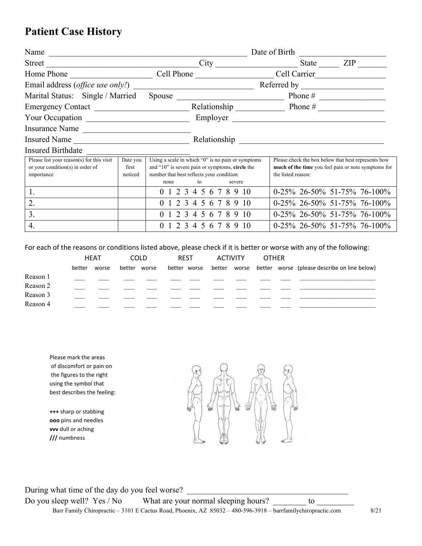## **Patient Case History**

| Name                                                                                                                                |  |                       | Date of Birth                                                                                                                                                     |                                |                                                                                                            |  |  |  |  |
|-------------------------------------------------------------------------------------------------------------------------------------|--|-----------------------|-------------------------------------------------------------------------------------------------------------------------------------------------------------------|--------------------------------|------------------------------------------------------------------------------------------------------------|--|--|--|--|
| Street<br><u> 1990 - Johann John Harry Harry Harry Harry Harry Harry Harry Harry Harry Harry Harry Harry Harry Harry Harry H</u>    |  |                       | City                                                                                                                                                              | State                          | ZIP                                                                                                        |  |  |  |  |
| Home Phone                                                                                                                          |  |                       | Cell Phone Cell Carrier                                                                                                                                           |                                |                                                                                                            |  |  |  |  |
| Email address ( <i>office use only!</i> )                                                                                           |  |                       |                                                                                                                                                                   |                                |                                                                                                            |  |  |  |  |
| Marital Status: Single / Married                                                                                                    |  |                       | Spouse                                                                                                                                                            |                                | Phone $#$                                                                                                  |  |  |  |  |
| Emergency Contact                                                                                                                   |  |                       | Relationship Phone $#$                                                                                                                                            |                                |                                                                                                            |  |  |  |  |
|                                                                                                                                     |  |                       | Employer                                                                                                                                                          |                                |                                                                                                            |  |  |  |  |
| Insurance Name                                                                                                                      |  |                       |                                                                                                                                                                   |                                |                                                                                                            |  |  |  |  |
| Insured Name                                                                                                                        |  |                       | Relationship<br><u> 1989 - Johann Stein, mars and de Brasilian (b. 1989)</u>                                                                                      |                                |                                                                                                            |  |  |  |  |
| <b>Insured Birthdate</b>                                                                                                            |  |                       |                                                                                                                                                                   |                                |                                                                                                            |  |  |  |  |
| Please list your reason(s) for this visit<br>Date you<br>or your condition(s) in order of<br>first<br>noticed<br>importance<br>none |  |                       | Using a scale in which "0" is no pain or symptoms<br>and "10" is severe pain or symptoms, circle the<br>number that best reflects your condition:<br>to<br>severe | the listed reason:             | Please check the box below that best represents how<br>much of the time you feel pain or note symptoms for |  |  |  |  |
| 1.                                                                                                                                  |  | 2 3<br>0 <sub>1</sub> | 5 6 7<br>8910                                                                                                                                                     | 0-25% 26-50% 51-75% 76-100%    |                                                                                                            |  |  |  |  |
| 2.                                                                                                                                  |  |                       | 2 3 4 5 6 7 8 9 10                                                                                                                                                | 0-25% 26-50% 51-75% 76-100%    |                                                                                                            |  |  |  |  |
| 3.                                                                                                                                  |  |                       | 0 1 2 3 4 5 6 7 8 9 10                                                                                                                                            | $0-25\%$ 26-50% 51-75% 76-100% |                                                                                                            |  |  |  |  |
| 4.<br>3                                                                                                                             |  |                       | 8<br>9<br>10<br>5<br>$\mathsf{f}$                                                                                                                                 | $0-25\%$ 26-50% 51-75% 76-100% |                                                                                                            |  |  |  |  |

For each of the reasons or conditions listed above, please check if it is better or worse with any of the following:

|          | <b>HEAT</b> |       | <b>COLD</b>  |  | <b>REST</b> |              | ACTIVITY |  | <b>OTHER</b> |  |                                                           |
|----------|-------------|-------|--------------|--|-------------|--------------|----------|--|--------------|--|-----------------------------------------------------------|
|          | better      | worse | better worse |  |             | better worse |          |  |              |  | better worse better worse (please describe on line below) |
| Reason 1 |             |       |              |  |             |              |          |  |              |  |                                                           |
| Reason 2 |             |       |              |  |             |              |          |  |              |  |                                                           |
| Reason 3 |             |       |              |  |             |              |          |  |              |  |                                                           |
| Reason 4 |             |       |              |  |             |              |          |  |              |  |                                                           |

Please mark the areas of discomfort or pain on the figures to the right using the symbol that best describes the feeling:

**+++** sharp or stabbing **ooo** pins and needles **vvv** dull or aching **///** numbness

During what time of the day do you feel worse? Do you sleep well? Yes / No What are your normal sleeping hours? to to Barr Family Chiropractic – 3101 E Cactus Road, Phoenix, AZ 85032 – 480-596-3918 – barrfamilychiropractic.com 8/21